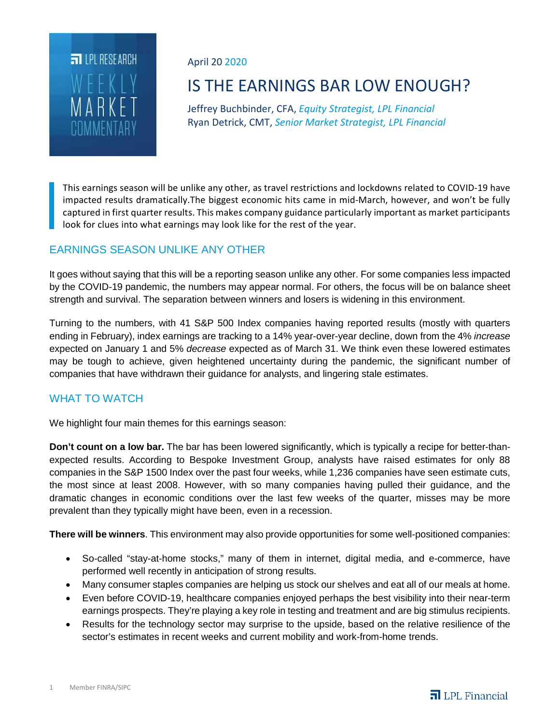

April 20 2020

# IS THE EARNINGS BAR LOW ENOUGH?

Jeffrey Buchbinder, CFA, *Equity Strategist, LPL Financial* Ryan Detrick, CMT, *Senior Market Strategist, LPL Financial*

This earnings season will be unlike any other, as travel restrictions and lockdowns related to COVID-19 have impacted results dramatically.The biggest economic hits came in mid-March, however, and won't be fully captured in first quarter results. This makes company guidance particularly important as market participants look for clues into what earnings may look like for the rest of the year.

# EARNINGS SEASON UNLIKE ANY OTHER

It goes without saying that this will be a reporting season unlike any other. For some companies less impacted by the COVID-19 pandemic, the numbers may appear normal. For others, the focus will be on balance sheet strength and survival. The separation between winners and losers is widening in this environment.

Turning to the numbers, with 41 S&P 500 Index companies having reported results (mostly with quarters ending in February), index earnings are tracking to a 14% year-over-year decline, down from the 4% *increase* expected on January 1 and 5% *decrease* expected as of March 31. We think even these lowered estimates may be tough to achieve, given heightened uncertainty during the pandemic, the significant number of companies that have withdrawn their guidance for analysts, and lingering stale estimates.

# WHAT TO WATCH

We highlight four main themes for this earnings season:

**Don't count on a low bar.** The bar has been lowered significantly, which is typically a recipe for better-thanexpected results. According to Bespoke Investment Group, analysts have raised estimates for only 88 companies in the S&P 1500 Index over the past four weeks, while 1,236 companies have seen estimate cuts, the most since at least 2008. However, with so many companies having pulled their guidance, and the dramatic changes in economic conditions over the last few weeks of the quarter, misses may be more prevalent than they typically might have been, even in a recession.

**There will be winners**. This environment may also provide opportunities for some well-positioned companies:

- So-called "stay-at-home stocks," many of them in internet, digital media, and e-commerce, have performed well recently in anticipation of strong results.
- Many consumer staples companies are helping us stock our shelves and eat all of our meals at home.
- Even before COVID-19, healthcare companies enjoyed perhaps the best visibility into their near-term earnings prospects. They're playing a key role in testing and treatment and are big stimulus recipients.
- Results for the technology sector may surprise to the upside, based on the relative resilience of the sector's estimates in recent weeks and current mobility and work-from-home trends.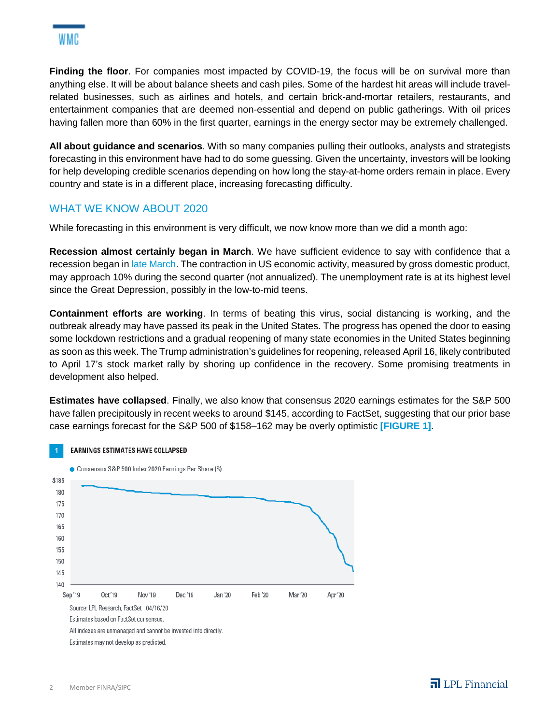**Finding the floor**. For companies most impacted by COVID-19, the focus will be on survival more than anything else. It will be about balance sheets and cash piles. Some of the hardest hit areas will include travelrelated businesses, such as airlines and hotels, and certain brick-and-mortar retailers, restaurants, and entertainment companies that are deemed non-essential and depend on public gatherings. With oil prices having fallen more than 60% in the first quarter, earnings in the energy sector may be extremely challenged.

**All about guidance and scenarios**. With so many companies pulling their outlooks, analysts and strategists forecasting in this environment have had to do some guessing. Given the uncertainty, investors will be looking for help developing credible scenarios depending on how long the stay-at-home orders remain in place. Every country and state is in a different place, increasing forecasting difficulty.

# WHAT WE KNOW ABOUT 2020

While forecasting in this environment is very difficult, we now know more than we did a month ago:

**Recession almost certainly began in March**. We have sufficient evidence to say with confidence that a recession began i[n late March.](https://www.lpl.com/news-media/research-insights/weekly-market-commentary/a-recession-is-here.html) The contraction in US economic activity, measured by gross domestic product, may approach 10% during the second quarter (not annualized). The unemployment rate is at its highest level since the Great Depression, possibly in the low-to-mid teens.

**Containment efforts are working**. In terms of beating this virus, social distancing is working, and the outbreak already may have passed its peak in the United States. The progress has opened the door to easing some lockdown restrictions and a gradual reopening of many state economies in the United States beginning as soon as this week. The Trump administration's guidelines for reopening, released April 16, likely contributed to April 17's stock market rally by shoring up confidence in the recovery. Some promising treatments in development also helped.

**Estimates have collapsed**. Finally, we also know that consensus 2020 earnings estimates for the S&P 500 have fallen precipitously in recent weeks to around \$145, according to FactSet, suggesting that our prior base case earnings forecast for the S&P 500 of \$158–162 may be overly optimistic **[FIGURE 1]**.



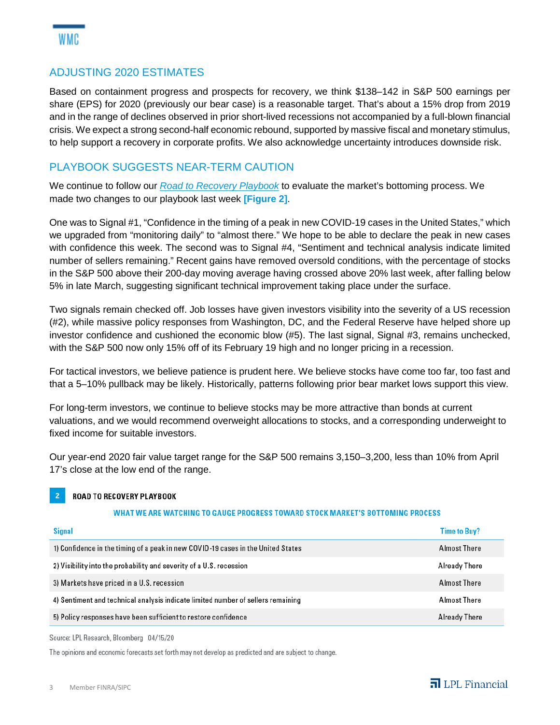## ADJUSTING 2020 ESTIMATES

Based on containment progress and prospects for recovery, we think \$138–142 in S&P 500 earnings per share (EPS) for 2020 (previously our bear case) is a reasonable target. That's about a 15% drop from 2019 and in the range of declines observed in prior short-lived recessions not accompanied by a full-blown financial crisis. We expect a strong second-half economic rebound, supported by massive fiscal and monetary stimulus, to help support a recovery in corporate profits. We also acknowledge uncertainty introduces downside risk.

## PLAYBOOK SUGGESTS NEAR-TERM CAUTION

We continue to follow our *[Road to Recovery Playbook](https://lplresearch.com/2020/04/15/gaining-confidence-in-a-covid-19-peak/)* to evaluate the market's bottoming process. We made two changes to our playbook last week **[Figure 2]**.

One was to Signal #1, "Confidence in the timing of a peak in new COVID-19 cases in the United States," which we upgraded from "monitoring daily" to "almost there." We hope to be able to declare the peak in new cases with confidence this week. The second was to Signal #4, "Sentiment and technical analysis indicate limited number of sellers remaining." Recent gains have removed oversold conditions, with the percentage of stocks in the S&P 500 above their 200-day moving average having crossed above 20% last week, after falling below 5% in late March, suggesting significant technical improvement taking place under the surface.

Two signals remain checked off. Job losses have given investors visibility into the severity of a US recession (#2), while massive policy responses from Washington, DC, and the Federal Reserve have helped shore up investor confidence and cushioned the economic blow (#5). The last signal, Signal #3, remains unchecked, with the S&P 500 now only 15% off of its February 19 high and no longer pricing in a recession.

For tactical investors, we believe patience is prudent here. We believe stocks have come too far, too fast and that a 5–10% pullback may be likely. Historically, patterns following prior bear market lows support this view.

For long-term investors, we continue to believe stocks may be more attractive than bonds at current valuations, and we would recommend overweight allocations to stocks, and a corresponding underweight to fixed income for suitable investors.

Our year-end 2020 fair value target range for the S&P 500 remains 3,150–3,200, less than 10% from April 17's close at the low end of the range.

### **ROAD TO RECOVERY PLAYBOOK**

 $\overline{2}$ 

#### WHAT WE ARE WATCHING TO GAUGE PROGRESS TOWARD STOCK MARKET'S BOTTOMING PROCESS

| <b>Signal</b>                                                                    | <b>Time to Buy?</b> |
|----------------------------------------------------------------------------------|---------------------|
| 1) Confidence in the timing of a peak in new COVID-19 cases in the United States | Almost There        |
| 2) Visibility into the probability and severity of a U.S. recession              | Already There       |
| 3) Markets have priced in a U.S. recession                                       | Almost There        |
| 4) Sentiment and technical analysis indicate limited number of sellers remaining | Almost There        |
| 5) Policy responses have been sufficient to restore confidence                   | Already There       |

Source: LPL Research, Bloomberg 04/15/20

The opinions and economic forecasts set forth may not develop as predicted and are subject to change.